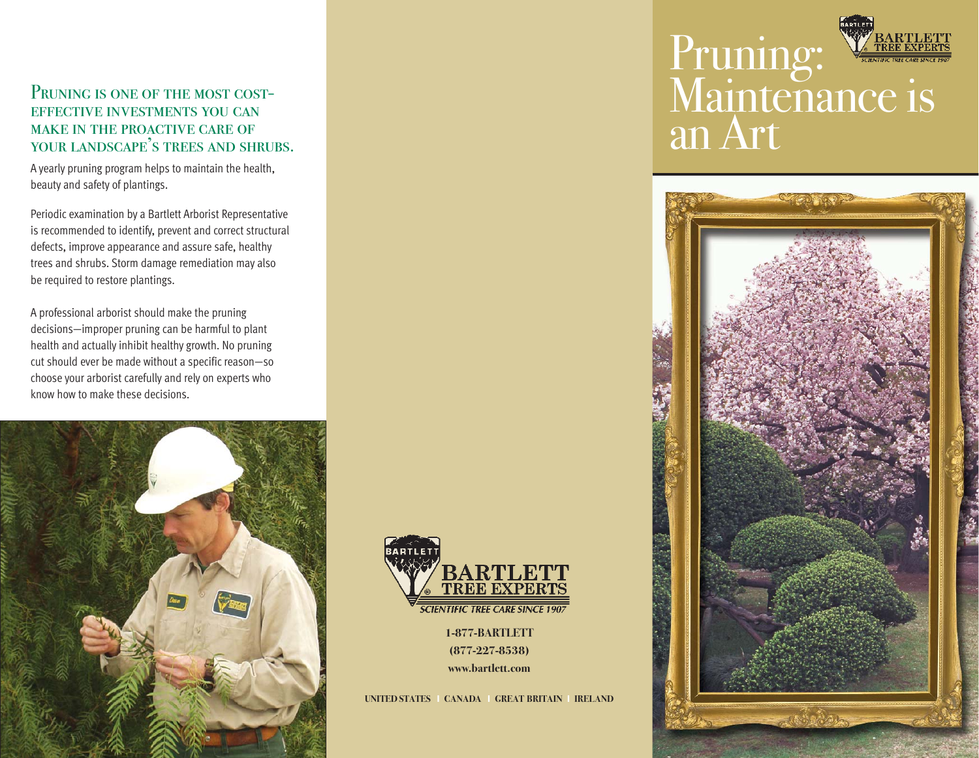### PRUNING IS ONE OF THE MOST COSTeffective investments you can make in the proactive care of your landscape's trees and shrubs.

A yearly pruning program helps to maintain the health, beauty and safety of plantings.

Periodic examination by a Bartlett Arborist Representative is recommended to identify, prevent and correct structural defects, improve appearance and assure safe, healthy trees and shrubs. Storm damage remediation may also be required to restore plantings.

A professional arborist should make the pruning decisions—improper pruning can be harmful to plant health and actually inhibit healthy growth. No pruning cut should ever be made without a specific reason—so choose your arborist carefully and rely on experts who know how to make these decisions.





**1-877-BARTLETT (877-227-8538) www.bartlett.com**

**UNITED STATES** I **CANADA** I **GREAT BRITAIN** I **IRELAND**

# Pruning: Maintenance is an Art